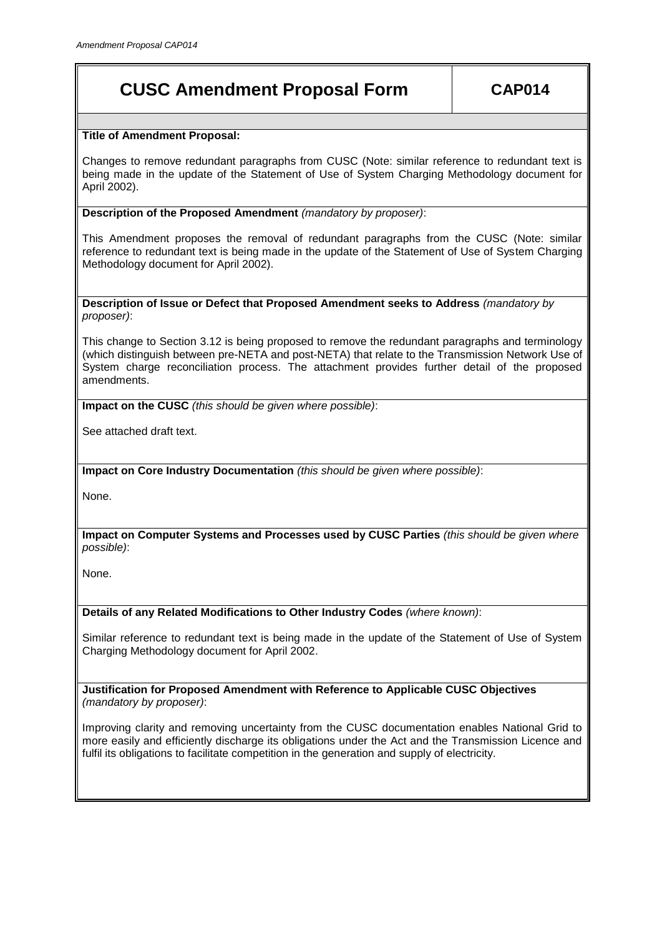# **CUSC Amendment Proposal Form CAP014**

# **Title of Amendment Proposal:**

Changes to remove redundant paragraphs from CUSC (Note: similar reference to redundant text is being made in the update of the Statement of Use of System Charging Methodology document for April 2002).

**Description of the Proposed Amendment** *(mandatory by proposer)*:

This Amendment proposes the removal of redundant paragraphs from the CUSC (Note: similar reference to redundant text is being made in the update of the Statement of Use of System Charging Methodology document for April 2002).

**Description of Issue or Defect that Proposed Amendment seeks to Address** *(mandatory by proposer)*:

This change to Section 3.12 is being proposed to remove the redundant paragraphs and terminology (which distinguish between pre-NETA and post-NETA) that relate to the Transmission Network Use of System charge reconciliation process. The attachment provides further detail of the proposed amendments.

**Impact on the CUSC** *(this should be given where possible)*:

See attached draft text.

**Impact on Core Industry Documentation** *(this should be given where possible)*:

None.

**Impact on Computer Systems and Processes used by CUSC Parties** *(this should be given where possible)*:

None.

**Details of any Related Modifications to Other Industry Codes** *(where known)*:

Similar reference to redundant text is being made in the update of the Statement of Use of System Charging Methodology document for April 2002.

**Justification for Proposed Amendment with Reference to Applicable CUSC Objectives**  *(mandatory by proposer)*:

Improving clarity and removing uncertainty from the CUSC documentation enables National Grid to more easily and efficiently discharge its obligations under the Act and the Transmission Licence and fulfil its obligations to facilitate competition in the generation and supply of electricity.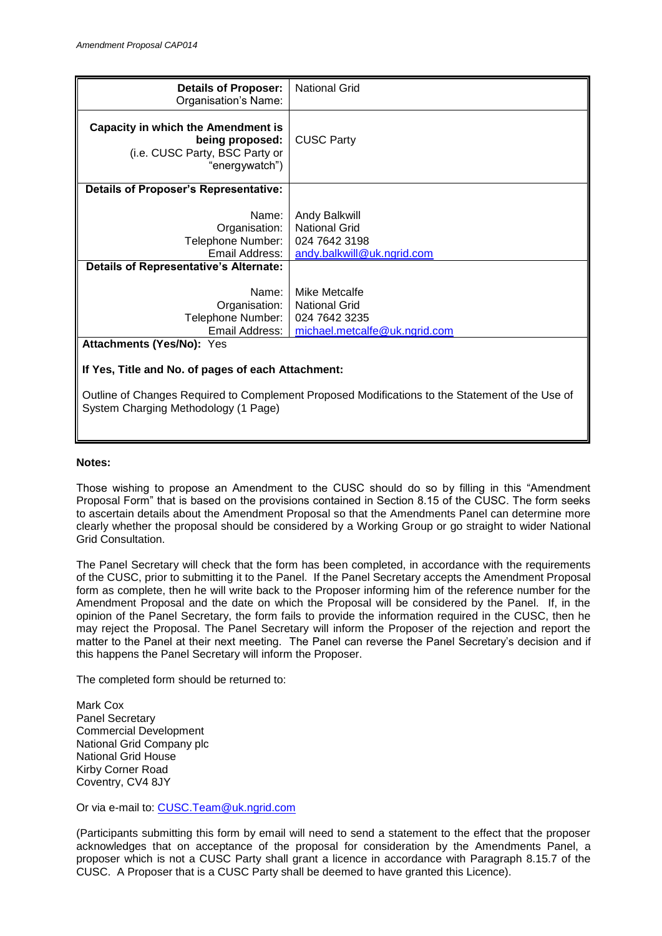| <b>Details of Proposer:</b><br>Organisation's Name:                                                                                     | <b>National Grid</b>                                                                    |
|-----------------------------------------------------------------------------------------------------------------------------------------|-----------------------------------------------------------------------------------------|
| <b>Capacity in which the Amendment is</b><br>being proposed:<br>(i.e. CUSC Party, BSC Party or<br>"energywatch")                        | <b>CUSC Party</b>                                                                       |
| <b>Details of Proposer's Representative:</b>                                                                                            |                                                                                         |
| Name:<br>Organisation:<br>Telephone Number:<br>Email Address:                                                                           | Andy Balkwill<br><b>National Grid</b><br>024 7642 3198<br>andy.balkwill@uk.ngrid.com    |
| <b>Details of Representative's Alternate:</b>                                                                                           |                                                                                         |
| Name:<br>Organisation:<br>Telephone Number:<br>Email Address:                                                                           | Mike Metcalfe<br><b>National Grid</b><br>024 7642 3235<br>michael.metcalfe@uk.ngrid.com |
| <b>Attachments (Yes/No): Yes</b>                                                                                                        |                                                                                         |
| If Yes, Title and No. of pages of each Attachment:                                                                                      |                                                                                         |
| Outline of Changes Required to Complement Proposed Modifications to the Statement of the Use of<br>System Charging Methodology (1 Page) |                                                                                         |

#### **Notes:**

Those wishing to propose an Amendment to the CUSC should do so by filling in this "Amendment Proposal Form" that is based on the provisions contained in Section 8.15 of the CUSC. The form seeks to ascertain details about the Amendment Proposal so that the Amendments Panel can determine more clearly whether the proposal should be considered by a Working Group or go straight to wider National Grid Consultation.

The Panel Secretary will check that the form has been completed, in accordance with the requirements of the CUSC, prior to submitting it to the Panel. If the Panel Secretary accepts the Amendment Proposal form as complete, then he will write back to the Proposer informing him of the reference number for the Amendment Proposal and the date on which the Proposal will be considered by the Panel. If, in the opinion of the Panel Secretary, the form fails to provide the information required in the CUSC, then he may reject the Proposal. The Panel Secretary will inform the Proposer of the rejection and report the matter to the Panel at their next meeting. The Panel can reverse the Panel Secretary's decision and if this happens the Panel Secretary will inform the Proposer.

The completed form should be returned to:

Mark Cox Panel Secretary Commercial Development National Grid Company plc National Grid House Kirby Corner Road Coventry, CV4 8JY

Or via e-mail to: [CUSC.Team@uk.ngrid.com](mailto:CUSC.Team@uk.ngrid.com)

(Participants submitting this form by email will need to send a statement to the effect that the proposer acknowledges that on acceptance of the proposal for consideration by the Amendments Panel, a proposer which is not a CUSC Party shall grant a licence in accordance with Paragraph 8.15.7 of the CUSC. A Proposer that is a CUSC Party shall be deemed to have granted this Licence).